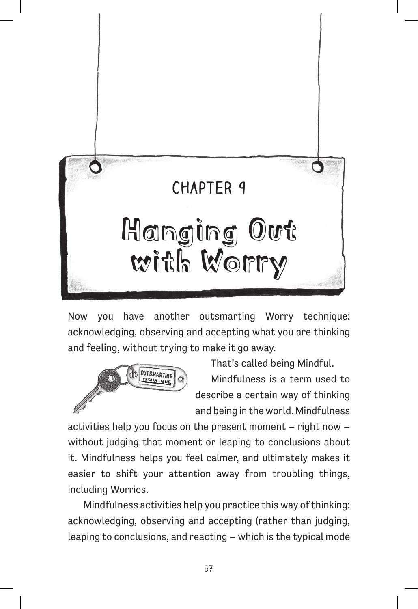

Now you have another outsmarting Worry technique: acknowledging, observing and accepting what you are thinking and feeling, without trying to make it go away.



That's called being Mindful.

Mindfulness is a term used to describe a certain way of thinking and being in the world. Mindfulness

activities help you focus on the present moment – right now – without judging that moment or leaping to conclusions about it. Mindfulness helps you feel calmer, and ultimately makes it easier to shift your attention away from troubling things, including Worries.

Mindfulness activities help you practice this way of thinking: acknowledging, observing and accepting (rather than judging, leaping to conclusions, and reacting – which is the typical mode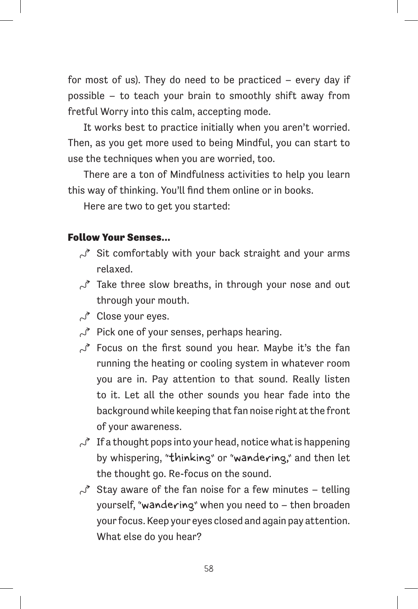for most of us). They do need to be practiced – every day if possible – to teach your brain to smoothly shift away from fretful Worry into this calm, accepting mode.

It works best to practice initially when you aren't worried. Then, as you get more used to being Mindful, you can start to use the techniques when you are worried, too.

There are a ton of Mindfulness activities to help you learn this way of thinking. You'll find them online or in books.

Here are two to get you started:

## Follow Your Senses…

- $\sim$  Sit comfortably with your back straight and your arms relaxed.
- $\sim$  Take three slow breaths, in through your nose and out through your mouth.
- $\sim$  Close your eyes.
- $\sim$  Pick one of your senses, perhaps hearing.
- $\sim$  Focus on the first sound you hear. Maybe it's the fan running the heating or cooling system in whatever room you are in. Pay attention to that sound. Really listen to it. Let all the other sounds you hear fade into the background while keeping that fan noise right at the front of your awareness.
- $\sim$  If a thought pops into your head, notice what is happening by whispering, "thinking" or "wandering," and then let the thought go. Re-focus on the sound.
- $\sim$  Stay aware of the fan noise for a few minutes telling yourself, "wandering" when you need to – then broaden your focus. Keep your eyes closed and again pay attention. What else do you hear?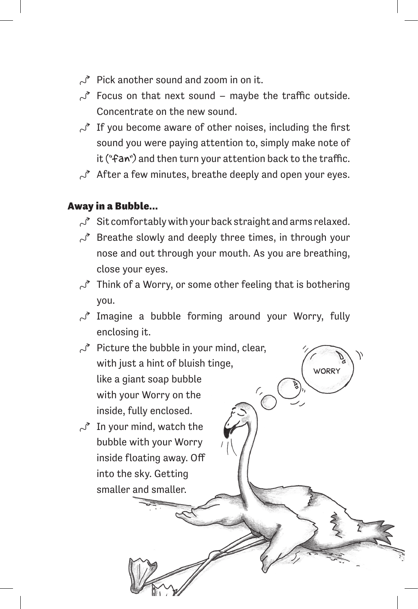- $\leq$  Pick another sound and zoom in on it.
- $\mathcal{S}$  Focus on that next sound maybe the traffic outside. Concentrate on the new sound.
- $\mathcal{S}$  If you become aware of other noises, including the first sound you were paying attention to, simply make note of it ("fan") and then turn your attention back to the traffic.
- $\sim$  After a few minutes, breathe deeply and open your eyes.

## Away in a Bubble…

- $\sim$  Sit comfortably with your back straight and arms relaxed.
- $\sim$  Breathe slowly and deeply three times, in through your nose and out through your mouth. As you are breathing, close your eyes.
- $\sim$  Think of a Worry, or some other feeling that is bothering you.
- $\sim$  Imagine a bubble forming around your Worry, fully enclosing it.
- $\sim$  Picture the bubble in your mind, clear, with just a hint of bluish tinge, **WORRY** like a giant soap bubble with your Worry on the inside, fully enclosed.  $\sim$  In your mind, watch the

bubble with your Worry inside floating away. Off into the sky. Getting smaller and smaller.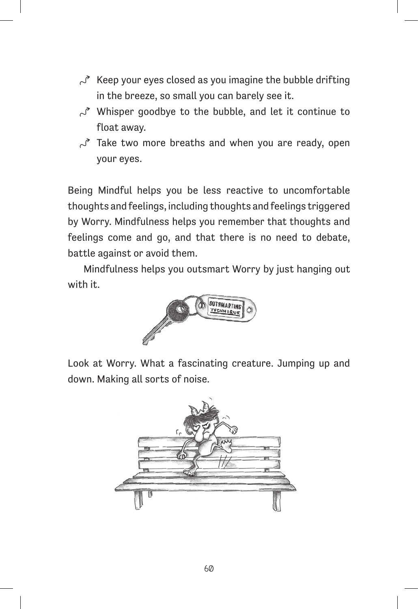- $\mathcal{S}$  Keep your eyes closed as you imagine the bubble drifting in the breeze, so small you can barely see it.
- $\mathcal{S}$  Whisper goodbye to the bubble, and let it continue to float away.
- $\sim$  Take two more breaths and when you are ready, open your eyes.

Being Mindful helps you be less reactive to uncomfortable thoughts and feelings, including thoughts and feelings triggered by Worry. Mindfulness helps you remember that thoughts and feelings come and go, and that there is no need to debate, battle against or avoid them.

Mindfulness helps you outsmart Worry by just hanging out with it.



Look at Worry. What a fascinating creature. Jumping up and down. Making all sorts of noise.